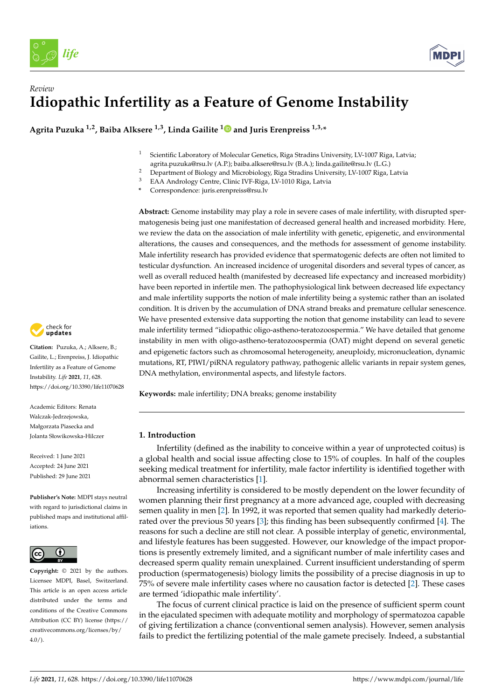



### *Review* **Idiopathic Infertility as a Feature of Genome Instability**

**Agrita Puzuka 1,2, Baiba Alksere 1,3, Linda Gailite [1](https://orcid.org/0000-0002-7219-1294) and Juris Erenpreiss 1,3,\***

- <sup>1</sup> Scientific Laboratory of Molecular Genetics, Riga Stradins University, LV-1007 Riga, Latvia; agrita.puzuka@rsu.lv (A.P.); baiba.alksere@rsu.lv (B.A.); linda.gailite@rsu.lv (L.G.)
- <sup>2</sup> Department of Biology and Microbiology, Riga Stradins University, LV-1007 Riga, Latvia
- <sup>3</sup> EAA Andrology Centre, Clinic IVF-Riga, LV-1010 Riga, Latvia
- **\*** Correspondence: juris.erenpreiss@rsu.lv

**Abstract:** Genome instability may play a role in severe cases of male infertility, with disrupted spermatogenesis being just one manifestation of decreased general health and increased morbidity. Here, we review the data on the association of male infertility with genetic, epigenetic, and environmental alterations, the causes and consequences, and the methods for assessment of genome instability. Male infertility research has provided evidence that spermatogenic defects are often not limited to testicular dysfunction. An increased incidence of urogenital disorders and several types of cancer, as well as overall reduced health (manifested by decreased life expectancy and increased morbidity) have been reported in infertile men. The pathophysiological link between decreased life expectancy and male infertility supports the notion of male infertility being a systemic rather than an isolated condition. It is driven by the accumulation of DNA strand breaks and premature cellular senescence. We have presented extensive data supporting the notion that genome instability can lead to severe male infertility termed "idiopathic oligo-astheno-teratozoospermia." We have detailed that genome instability in men with oligo-astheno-teratozoospermia (OAT) might depend on several genetic and epigenetic factors such as chromosomal heterogeneity, aneuploidy, micronucleation, dynamic mutations, RT, PIWI/piRNA regulatory pathway, pathogenic allelic variants in repair system genes, DNA methylation, environmental aspects, and lifestyle factors.

**Keywords:** male infertility; DNA breaks; genome instability

### **1. Introduction**

Infertility (defined as the inability to conceive within a year of unprotected coitus) is a global health and social issue affecting close to 15% of couples. In half of the couples seeking medical treatment for infertility, male factor infertility is identified together with abnormal semen characteristics [\[1\]](#page-9-0).

Increasing infertility is considered to be mostly dependent on the lower fecundity of women planning their first pregnancy at a more advanced age, coupled with decreasing semen quality in men [\[2\]](#page-9-1). In 1992, it was reported that semen quality had markedly deteriorated over the previous 50 years [\[3\]](#page-9-2); this finding has been subsequently confirmed [\[4\]](#page-9-3). The reasons for such a decline are still not clear. A possible interplay of genetic, environmental, and lifestyle features has been suggested. However, our knowledge of the impact proportions is presently extremely limited, and a significant number of male infertility cases and decreased sperm quality remain unexplained. Current insufficient understanding of sperm production (spermatogenesis) biology limits the possibility of a precise diagnosis in up to 75% of severe male infertility cases where no causation factor is detected [\[2\]](#page-9-1). These cases are termed 'idiopathic male infertility'.

The focus of current clinical practice is laid on the presence of sufficient sperm count in the ejaculated specimen with adequate motility and morphology of spermatozoa capable of giving fertilization a chance (conventional semen analysis). However, semen analysis fails to predict the fertilizing potential of the male gamete precisely. Indeed, a substantial



**Citation:** Puzuka, A.; Alksere, B.; Gailite, L.; Erenpreiss, J. Idiopathic Infertility as a Feature of Genome Instability. *Life* **2021**, *11*, 628. <https://doi.org/10.3390/life11070628>

Academic Editors: Renata Walczak-Jedrzejowska, Małgorzata Piasecka and Jolanta Słowikowska-Hilczer

Received: 1 June 2021 Accepted: 24 June 2021 Published: 29 June 2021

**Publisher's Note:** MDPI stays neutral with regard to jurisdictional claims in published maps and institutional affiliations.



**Copyright:** © 2021 by the authors. Licensee MDPI, Basel, Switzerland. This article is an open access article distributed under the terms and conditions of the Creative Commons Attribution (CC BY) license (https:/[/](https://creativecommons.org/licenses/by/4.0/) [creativecommons.org/licenses/by/](https://creativecommons.org/licenses/by/4.0/)  $4.0/$ ).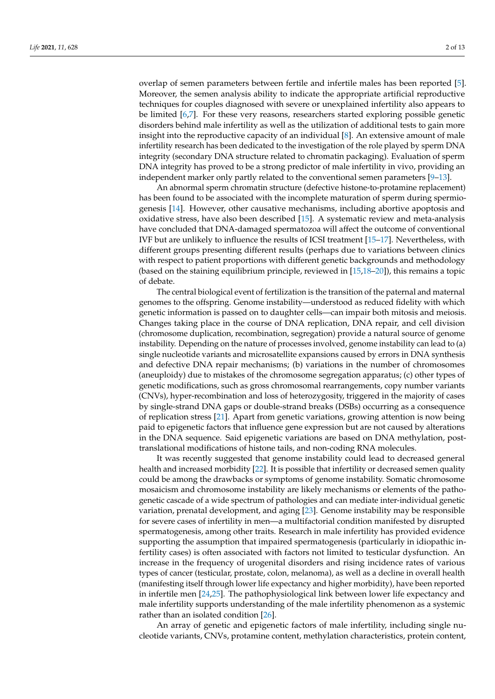overlap of semen parameters between fertile and infertile males has been reported [\[5\]](#page-9-4). Moreover, the semen analysis ability to indicate the appropriate artificial reproductive techniques for couples diagnosed with severe or unexplained infertility also appears to be limited [\[6,](#page-9-5)[7\]](#page-9-6). For these very reasons, researchers started exploring possible genetic disorders behind male infertility as well as the utilization of additional tests to gain more insight into the reproductive capacity of an individual [\[8\]](#page-9-7). An extensive amount of male infertility research has been dedicated to the investigation of the role played by sperm DNA integrity (secondary DNA structure related to chromatin packaging). Evaluation of sperm DNA integrity has proved to be a strong predictor of male infertility in vivo, providing an independent marker only partly related to the conventional semen parameters [\[9–](#page-9-8)[13\]](#page-9-9).

An abnormal sperm chromatin structure (defective histone-to-protamine replacement) has been found to be associated with the incomplete maturation of sperm during spermiogenesis [\[14\]](#page-9-10). However, other causative mechanisms, including abortive apoptosis and oxidative stress, have also been described [\[15\]](#page-9-11). A systematic review and meta-analysis have concluded that DNA-damaged spermatozoa will affect the outcome of conventional IVF but are unlikely to influence the results of ICSI treatment [\[15](#page-9-11)[–17\]](#page-9-12). Nevertheless, with different groups presenting different results (perhaps due to variations between clinics with respect to patient proportions with different genetic backgrounds and methodology (based on the staining equilibrium principle, reviewed in [\[15,](#page-9-11)[18–](#page-9-13)[20\]](#page-9-14)), this remains a topic of debate.

The central biological event of fertilization is the transition of the paternal and maternal genomes to the offspring. Genome instability—understood as reduced fidelity with which genetic information is passed on to daughter cells—can impair both mitosis and meiosis. Changes taking place in the course of DNA replication, DNA repair, and cell division (chromosome duplication, recombination, segregation) provide a natural source of genome instability. Depending on the nature of processes involved, genome instability can lead to (a) single nucleotide variants and microsatellite expansions caused by errors in DNA synthesis and defective DNA repair mechanisms; (b) variations in the number of chromosomes (aneuploidy) due to mistakes of the chromosome segregation apparatus; (c) other types of genetic modifications, such as gross chromosomal rearrangements, copy number variants (CNVs), hyper-recombination and loss of heterozygosity, triggered in the majority of cases by single-strand DNA gaps or double-strand breaks (DSBs) occurring as a consequence of replication stress [\[21\]](#page-9-15). Apart from genetic variations, growing attention is now being paid to epigenetic factors that influence gene expression but are not caused by alterations in the DNA sequence. Said epigenetic variations are based on DNA methylation, posttranslational modifications of histone tails, and non-coding RNA molecules.

It was recently suggested that genome instability could lead to decreased general health and increased morbidity [\[22\]](#page-9-16). It is possible that infertility or decreased semen quality could be among the drawbacks or symptoms of genome instability. Somatic chromosome mosaicism and chromosome instability are likely mechanisms or elements of the pathogenetic cascade of a wide spectrum of pathologies and can mediate inter-individual genetic variation, prenatal development, and aging [\[23\]](#page-9-17). Genome instability may be responsible for severe cases of infertility in men—a multifactorial condition manifested by disrupted spermatogenesis, among other traits. Research in male infertility has provided evidence supporting the assumption that impaired spermatogenesis (particularly in idiopathic infertility cases) is often associated with factors not limited to testicular dysfunction. An increase in the frequency of urogenital disorders and rising incidence rates of various types of cancer (testicular, prostate, colon, melanoma), as well as a decline in overall health (manifesting itself through lower life expectancy and higher morbidity), have been reported in infertile men [\[24,](#page-9-18)[25\]](#page-10-0). The pathophysiological link between lower life expectancy and male infertility supports understanding of the male infertility phenomenon as a systemic rather than an isolated condition [\[26\]](#page-10-1).

An array of genetic and epigenetic factors of male infertility, including single nucleotide variants, CNVs, protamine content, methylation characteristics, protein content,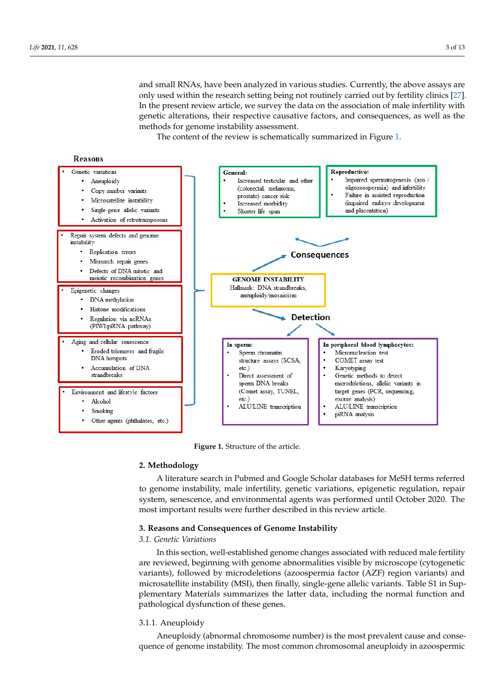and small RNAs, have been analyzed in various studies. Currently, the above assays are only used within the research setting being not routinely carried out by fe[rtil](#page-10-2)ity clinics [27]. In the present review article, we survey the data on the association of male infertility with genetic alterations, their respective causative factors, and consequences, as well as the methods for genome instability assessment.<br>The content of the review is schematically summarized in Figure 1.

The content of the review is schematically summarized in Figure [1.](#page-2-0)

<span id="page-2-0"></span>

**Figure 1.** Structure of the article. **Figure 1.** Structure of the article.

# **2. Methodology 2. Methodology**

to genome instability, male infertility, genetic variations, epigenetic regulation, repair system, senescence, and environmental agents was performed until October 2020. The most important results were further described in this review article. A literature search in Pubmed and Google Scholar databases for MeSH terms referred

## **3. Reasons and Consequences of Genome Instability**

#### *3.1. Genetic Variations*

In this section, well-established genome changes associated with reduced male fertility are reviewed, beginning with genome abnormalities visible by microscope (cytogenetic variants), followed by microdeletions (azoospermia factor (AZF) region variants) and<br> microsateme alstability (mbi), then mally, slight gene allene variants. Table by in bup<br>plementary Materials summarizes the latter data, including the normal function and pathological dysfunction of these genes. and microsatellite instability (MSI), then finally, single-generally, single-general single-general single-gen<br>S1 instability (MSI), then finally, single-general single-general single-general single-general single-general microsatellite instability (MSI), then finally, single-gene allelic variants. Table S1 in Sup-

#### 3.1.1. Aneuploidy materials summarizes the normal function and  $\eta$ 3.1.1. Aneuploidy

Aneuploidy (abnormal chromosome number) is the most prevalent cause and consequence of genome instability. The most common chromosomal aneuploidy in azoospermic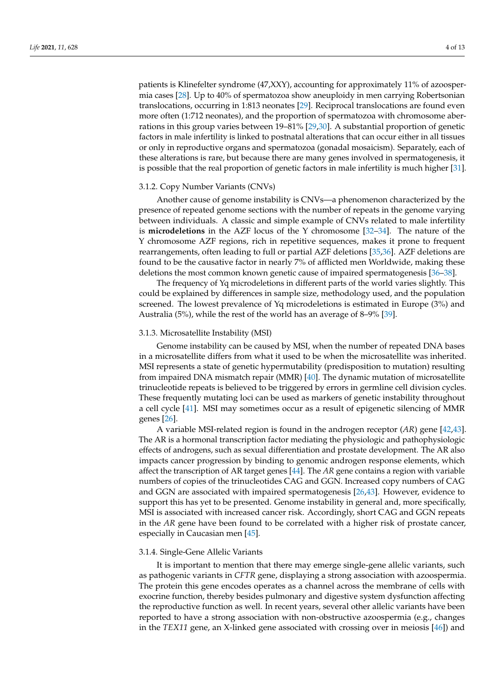patients is Klinefelter syndrome (47,XXY), accounting for approximately 11% of azoospermia cases [\[28\]](#page-10-3). Up to 40% of spermatozoa show aneuploidy in men carrying Robertsonian translocations, occurring in 1:813 neonates [\[29\]](#page-10-4). Reciprocal translocations are found even more often (1:712 neonates), and the proportion of spermatozoa with chromosome aberrations in this group varies between 19–81% [\[29](#page-10-4)[,30\]](#page-10-5). A substantial proportion of genetic factors in male infertility is linked to postnatal alterations that can occur either in all tissues or only in reproductive organs and spermatozoa (gonadal mosaicism). Separately, each of these alterations is rare, but because there are many genes involved in spermatogenesis, it is possible that the real proportion of genetic factors in male infertility is much higher [\[31\]](#page-10-6).

#### 3.1.2. Copy Number Variants (CNVs)

Another cause of genome instability is CNVs—a phenomenon characterized by the presence of repeated genome sections with the number of repeats in the genome varying between individuals. A classic and simple example of CNVs related to male infertility is **microdeletions** in the AZF locus of the Y chromosome [\[32–](#page-10-7)[34\]](#page-10-8). The nature of the Y chromosome AZF regions, rich in repetitive sequences, makes it prone to frequent rearrangements, often leading to full or partial AZF deletions [\[35,](#page-10-9)[36\]](#page-10-10). AZF deletions are found to be the causative factor in nearly 7% of afflicted men Worldwide, making these deletions the most common known genetic cause of impaired spermatogenesis [\[36](#page-10-10)[–38\]](#page-10-11).

The frequency of Yq microdeletions in different parts of the world varies slightly. This could be explained by differences in sample size, methodology used, and the population screened. The lowest prevalence of Yq microdeletions is estimated in Europe (3%) and Australia (5%), while the rest of the world has an average of 8–9% [\[39\]](#page-10-12).

#### 3.1.3. Microsatellite Instability (MSI)

Genome instability can be caused by MSI, when the number of repeated DNA bases in a microsatellite differs from what it used to be when the microsatellite was inherited. MSI represents a state of genetic hypermutability (predisposition to mutation) resulting from impaired DNA mismatch repair (MMR) [\[40\]](#page-10-13). The dynamic mutation of microsatellite trinucleotide repeats is believed to be triggered by errors in germline cell division cycles. These frequently mutating loci can be used as markers of genetic instability throughout a cell cycle [\[41\]](#page-10-14). MSI may sometimes occur as a result of epigenetic silencing of MMR genes [\[26\]](#page-10-1).

A variable MSI-related region is found in the androgen receptor (*AR*) gene [\[42,](#page-10-15)[43\]](#page-10-16). The AR is a hormonal transcription factor mediating the physiologic and pathophysiologic effects of androgens, such as sexual differentiation and prostate development. The AR also impacts cancer progression by binding to genomic androgen response elements, which affect the transcription of AR target genes [\[44\]](#page-10-17). The *AR* gene contains a region with variable numbers of copies of the trinucleotides CAG and GGN. Increased copy numbers of CAG and GGN are associated with impaired spermatogenesis [\[26](#page-10-1)[,43\]](#page-10-16). However, evidence to support this has yet to be presented. Genome instability in general and, more specifically, MSI is associated with increased cancer risk. Accordingly, short CAG and GGN repeats in the *AR* gene have been found to be correlated with a higher risk of prostate cancer, especially in Caucasian men [\[45\]](#page-10-18).

#### 3.1.4. Single-Gene Allelic Variants

It is important to mention that there may emerge single-gene allelic variants, such as pathogenic variants in *CFTR* gene, displaying a strong association with azoospermia. The protein this gene encodes operates as a channel across the membrane of cells with exocrine function, thereby besides pulmonary and digestive system dysfunction affecting the reproductive function as well. In recent years, several other allelic variants have been reported to have a strong association with non-obstructive azoospermia (e.g., changes in the *TEX11* gene, an X-linked gene associated with crossing over in meiosis [\[46\]](#page-10-19)) and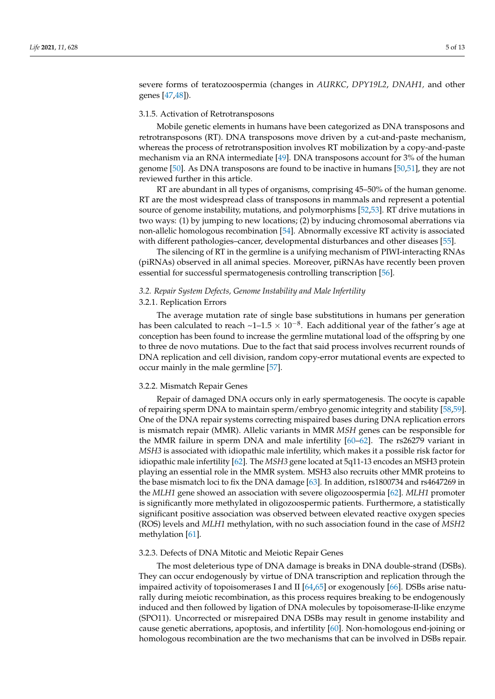severe forms of teratozoospermia (changes in *AURKC*, *DPY19L2*, *DNAH1,* and other genes [\[47,](#page-10-20)[48\]](#page-10-21)).

#### 3.1.5. Activation of Retrotransposons

Mobile genetic elements in humans have been categorized as DNA transposons and retrotransposons (RT). DNA transposons move driven by a cut-and-paste mechanism, whereas the process of retrotransposition involves RT mobilization by a copy-and-paste mechanism via an RNA intermediate [\[49\]](#page-10-22). DNA transposons account for 3% of the human genome [\[50\]](#page-10-23). As DNA transposons are found to be inactive in humans [\[50,](#page-10-23)[51\]](#page-10-24), they are not reviewed further in this article.

RT are abundant in all types of organisms, comprising 45–50% of the human genome. RT are the most widespread class of transposons in mammals and represent a potential source of genome instability, mutations, and polymorphisms [\[52](#page-11-0)[,53\]](#page-11-1). RT drive mutations in two ways: (1) by jumping to new locations; (2) by inducing chromosomal aberrations via non-allelic homologous recombination [\[54\]](#page-11-2). Abnormally excessive RT activity is associated with different pathologies–cancer, developmental disturbances and other diseases [\[55\]](#page-11-3).

The silencing of RT in the germline is a unifying mechanism of PIWI-interacting RNAs (piRNAs) observed in all animal species. Moreover, piRNAs have recently been proven essential for successful spermatogenesis controlling transcription [\[56\]](#page-11-4).

### *3.2. Repair System Defects, Genome Instability and Male Infertility*

#### 3.2.1. Replication Errors

The average mutation rate of single base substitutions in humans per generation has been calculated to reach ~1–1.5  $\times$  10<sup>-8</sup>. Each additional year of the father's age at conception has been found to increase the germline mutational load of the offspring by one to three de novo mutations. Due to the fact that said process involves recurrent rounds of DNA replication and cell division, random copy-error mutational events are expected to occur mainly in the male germline [\[57\]](#page-11-5).

#### 3.2.2. Mismatch Repair Genes

Repair of damaged DNA occurs only in early spermatogenesis. The oocyte is capable of repairing sperm DNA to maintain sperm/embryo genomic integrity and stability [\[58](#page-11-6)[,59\]](#page-11-7). One of the DNA repair systems correcting mispaired bases during DNA replication errors is mismatch repair (MMR). Allelic variants in MMR *MSH* genes can be responsible for the MMR failure in sperm DNA and male infertility [\[60–](#page-11-8)[62\]](#page-11-9). The rs26279 variant in *MSH3* is associated with idiopathic male infertility, which makes it a possible risk factor for idiopathic male infertility [\[62\]](#page-11-9). The *MSH3* gene located at 5q11-13 encodes an MSH3 protein playing an essential role in the MMR system. MSH3 also recruits other MMR proteins to the base mismatch loci to fix the DNA damage [\[63\]](#page-11-10). In addition, rs1800734 and rs4647269 in the *MLH1* gene showed an association with severe oligozoospermia [\[62\]](#page-11-9). *MLH1* promoter is significantly more methylated in oligozoospermic patients. Furthermore, a statistically significant positive association was observed between elevated reactive oxygen species (ROS) levels and *MLH1* methylation, with no such association found in the case of *MSH2* methylation [\[61\]](#page-11-11).

#### 3.2.3. Defects of DNA Mitotic and Meiotic Repair Genes

The most deleterious type of DNA damage is breaks in DNA double-strand (DSBs). They can occur endogenously by virtue of DNA transcription and replication through the impaired activity of topoisomerases I and II  $[64, 65]$  $[64, 65]$  or exogenously  $[66]$ . DSBs arise naturally during meiotic recombination, as this process requires breaking to be endogenously induced and then followed by ligation of DNA molecules by topoisomerase-II-like enzyme (SPO11). Uncorrected or misrepaired DNA DSBs may result in genome instability and cause genetic aberrations, apoptosis, and infertility [\[60\]](#page-11-8). Non-homologous end-joining or homologous recombination are the two mechanisms that can be involved in DSBs repair.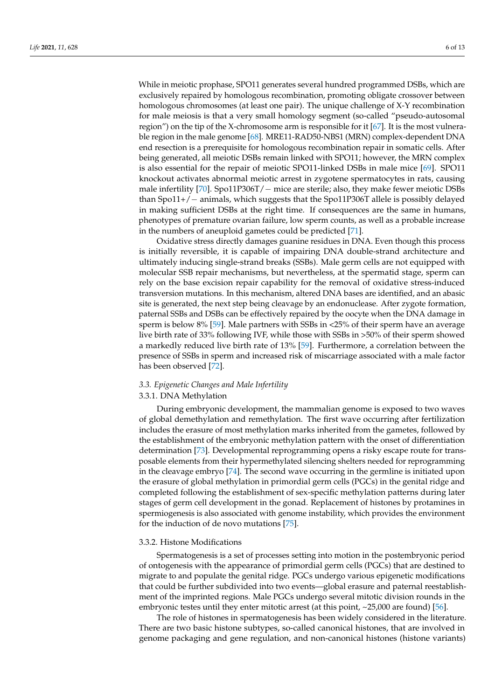While in meiotic prophase, SPO11 generates several hundred programmed DSBs, which are exclusively repaired by homologous recombination, promoting obligate crossover between homologous chromosomes (at least one pair). The unique challenge of X-Y recombination for male meiosis is that a very small homology segment (so-called "pseudo-autosomal region") on the tip of the X-chromosome arm is responsible for it [\[67\]](#page-11-15). It is the most vulnerable region in the male genome [\[68\]](#page-11-16). MRE11-RAD50-NBS1 (MRN) complex-dependent DNA end resection is a prerequisite for homologous recombination repair in somatic cells. After being generated, all meiotic DSBs remain linked with SPO11; however, the MRN complex is also essential for the repair of meiotic SPO11-linked DSBs in male mice [\[69\]](#page-11-17). SPO11 knockout activates abnormal meiotic arrest in zygotene spermatocytes in rats, causing male infertility [\[70\]](#page-11-18). Spo11P306T/ − mice are sterile; also, they make fewer meiotic DSBs than Spo11+/− animals, which suggests that the Spo11P306T allele is possibly delayed in making sufficient DSBs at the right time. If consequences are the same in humans, phenotypes of premature ovarian failure, low sperm counts, as well as a probable increase in the numbers of aneuploid gametes could be predicted [\[71\]](#page-11-19).

Oxidative stress directly damages guanine residues in DNA. Even though this process is initially reversible, it is capable of impairing DNA double-strand architecture and ultimately inducing single-strand breaks (SSBs). Male germ cells are not equipped with molecular SSB repair mechanisms, but nevertheless, at the spermatid stage, sperm can rely on the base excision repair capability for the removal of oxidative stress-induced transversion mutations. In this mechanism, altered DNA bases are identified, and an abasic site is generated, the next step being cleavage by an endonuclease. After zygote formation, paternal SSBs and DSBs can be effectively repaired by the oocyte when the DNA damage in sperm is below 8% [\[59\]](#page-11-7). Male partners with SSBs in <25% of their sperm have an average live birth rate of 33% following IVF, while those with SSBs in >50% of their sperm showed a markedly reduced live birth rate of 13% [\[59\]](#page-11-7). Furthermore, a correlation between the presence of SSBs in sperm and increased risk of miscarriage associated with a male factor has been observed [\[72\]](#page-11-20).

#### *3.3. Epigenetic Changes and Male Infertility*

#### 3.3.1. DNA Methylation

During embryonic development, the mammalian genome is exposed to two waves of global demethylation and remethylation. The first wave occurring after fertilization includes the erasure of most methylation marks inherited from the gametes, followed by the establishment of the embryonic methylation pattern with the onset of differentiation determination [\[73\]](#page-11-21). Developmental reprogramming opens a risky escape route for transposable elements from their hypermethylated silencing shelters needed for reprogramming in the cleavage embryo [\[74\]](#page-11-22). The second wave occurring in the germline is initiated upon the erasure of global methylation in primordial germ cells (PGCs) in the genital ridge and completed following the establishment of sex-specific methylation patterns during later stages of germ cell development in the gonad. Replacement of histones by protamines in spermiogenesis is also associated with genome instability, which provides the environment for the induction of de novo mutations [\[75\]](#page-11-23).

#### 3.3.2. Histone Modifications

Spermatogenesis is a set of processes setting into motion in the postembryonic period of ontogenesis with the appearance of primordial germ cells (PGCs) that are destined to migrate to and populate the genital ridge. PGCs undergo various epigenetic modifications that could be further subdivided into two events—global erasure and paternal reestablishment of the imprinted regions. Male PGCs undergo several mitotic division rounds in the embryonic testes until they enter mitotic arrest (at this point, ~25,000 are found) [\[56\]](#page-11-4).

The role of histones in spermatogenesis has been widely considered in the literature. There are two basic histone subtypes, so-called canonical histones, that are involved in genome packaging and gene regulation, and non-canonical histones (histone variants)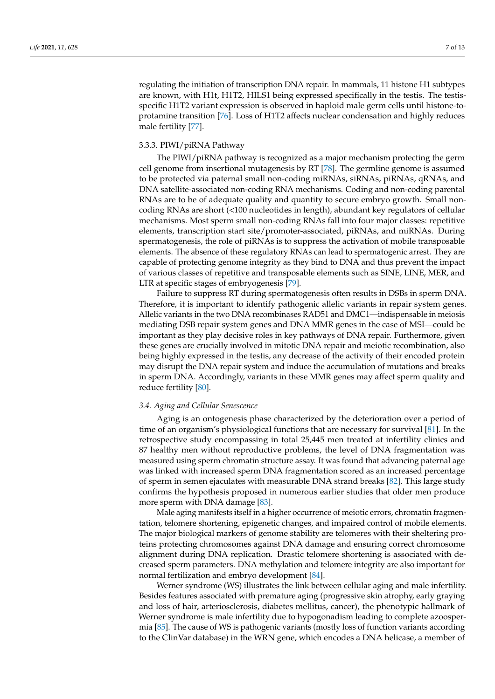regulating the initiation of transcription DNA repair. In mammals, 11 histone H1 subtypes are known, with H1t, H1T2, HILS1 being expressed specifically in the testis. The testisspecific H1T2 variant expression is observed in haploid male germ cells until histone-toprotamine transition [\[76\]](#page-11-24). Loss of H1T2 affects nuclear condensation and highly reduces male fertility [\[77\]](#page-11-25).

### 3.3.3. PIWI/piRNA Pathway

The PIWI/piRNA pathway is recognized as a major mechanism protecting the germ cell genome from insertional mutagenesis by RT [\[78\]](#page-11-26). The germline genome is assumed to be protected via paternal small non-coding miRNAs, siRNAs, piRNAs, qRNAs, and DNA satellite-associated non-coding RNA mechanisms. Coding and non-coding parental RNAs are to be of adequate quality and quantity to secure embryo growth. Small noncoding RNAs are short (<100 nucleotides in length), abundant key regulators of cellular mechanisms. Most sperm small non-coding RNAs fall into four major classes: repetitive elements, transcription start site/promoter-associated, piRNAs, and miRNAs. During spermatogenesis, the role of piRNAs is to suppress the activation of mobile transposable elements. The absence of these regulatory RNAs can lead to spermatogenic arrest. They are capable of protecting genome integrity as they bind to DNA and thus prevent the impact of various classes of repetitive and transposable elements such as SINE, LINE, MER, and LTR at specific stages of embryogenesis [\[79\]](#page-11-27).

Failure to suppress RT during spermatogenesis often results in DSBs in sperm DNA. Therefore, it is important to identify pathogenic allelic variants in repair system genes. Allelic variants in the two DNA recombinases RAD51 and DMC1—indispensable in meiosis mediating DSB repair system genes and DNA MMR genes in the case of MSI—could be important as they play decisive roles in key pathways of DNA repair. Furthermore, given these genes are crucially involved in mitotic DNA repair and meiotic recombination, also being highly expressed in the testis, any decrease of the activity of their encoded protein may disrupt the DNA repair system and induce the accumulation of mutations and breaks in sperm DNA. Accordingly, variants in these MMR genes may affect sperm quality and reduce fertility [\[80\]](#page-11-28).

#### *3.4. Aging and Cellular Senescence*

Aging is an ontogenesis phase characterized by the deterioration over a period of time of an organism's physiological functions that are necessary for survival [\[81\]](#page-12-0). In the retrospective study encompassing in total 25,445 men treated at infertility clinics and 87 healthy men without reproductive problems, the level of DNA fragmentation was measured using sperm chromatin structure assay. It was found that advancing paternal age was linked with increased sperm DNA fragmentation scored as an increased percentage of sperm in semen ejaculates with measurable DNA strand breaks [\[82\]](#page-12-1). This large study confirms the hypothesis proposed in numerous earlier studies that older men produce more sperm with DNA damage [\[83\]](#page-12-2).

Male aging manifests itself in a higher occurrence of meiotic errors, chromatin fragmentation, telomere shortening, epigenetic changes, and impaired control of mobile elements. The major biological markers of genome stability are telomeres with their sheltering proteins protecting chromosomes against DNA damage and ensuring correct chromosome alignment during DNA replication. Drastic telomere shortening is associated with decreased sperm parameters. DNA methylation and telomere integrity are also important for normal fertilization and embryo development [\[84\]](#page-12-3).

Werner syndrome (WS) illustrates the link between cellular aging and male infertility. Besides features associated with premature aging (progressive skin atrophy, early graying and loss of hair, arteriosclerosis, diabetes mellitus, cancer), the phenotypic hallmark of Werner syndrome is male infertility due to hypogonadism leading to complete azoospermia [\[85\]](#page-12-4). The cause of WS is pathogenic variants (mostly loss of function variants according to the ClinVar database) in the WRN gene, which encodes a DNA helicase, a member of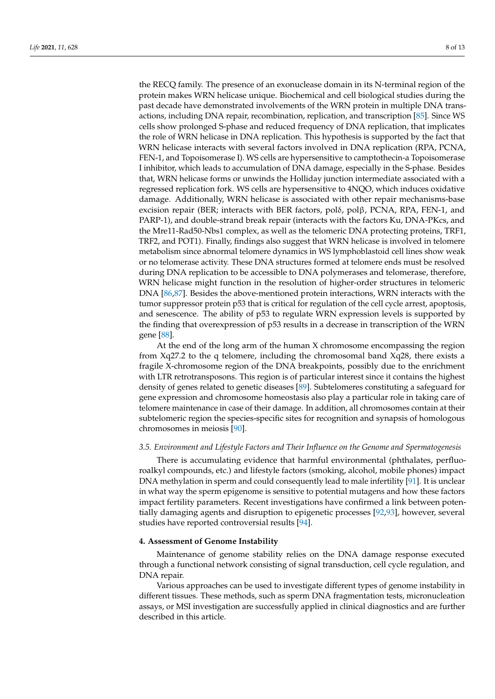the RECQ family. The presence of an exonuclease domain in its N-terminal region of the protein makes WRN helicase unique. Biochemical and cell biological studies during the past decade have demonstrated involvements of the WRN protein in multiple DNA transactions, including DNA repair, recombination, replication, and transcription [\[85\]](#page-12-4). Since WS cells show prolonged S-phase and reduced frequency of DNA replication, that implicates the role of WRN helicase in DNA replication. This hypothesis is supported by the fact that WRN helicase interacts with several factors involved in DNA replication (RPA, PCNA, FEN-1, and Topoisomerase I). WS cells are hypersensitive to camptothecin-a Topoisomerase I inhibitor, which leads to accumulation of DNA damage, especially in the S-phase. Besides that, WRN helicase forms or unwinds the Holliday junction intermediate associated with a regressed replication fork. WS cells are hypersensitive to 4NQO, which induces oxidative damage. Additionally, WRN helicase is associated with other repair mechanisms-base excision repair (BER; interacts with BER factors, polδ, polβ, PCNA, RPA, FEN-1, and PARP-1), and double-strand break repair (interacts with the factors Ku, DNA-PKcs, and the Mre11-Rad50-Nbs1 complex, as well as the telomeric DNA protecting proteins, TRF1, TRF2, and POT1). Finally, findings also suggest that WRN helicase is involved in telomere metabolism since abnormal telomere dynamics in WS lymphoblastoid cell lines show weak or no telomerase activity. These DNA structures formed at telomere ends must be resolved during DNA replication to be accessible to DNA polymerases and telomerase, therefore, WRN helicase might function in the resolution of higher-order structures in telomeric DNA [\[86,](#page-12-5)[87\]](#page-12-6). Besides the above-mentioned protein interactions, WRN interacts with the tumor suppressor protein p53 that is critical for regulation of the cell cycle arrest, apoptosis, and senescence. The ability of p53 to regulate WRN expression levels is supported by the finding that overexpression of p53 results in a decrease in transcription of the WRN gene [\[88\]](#page-12-7).

At the end of the long arm of the human X chromosome encompassing the region from Xq27.2 to the q telomere, including the chromosomal band Xq28, there exists a fragile X-chromosome region of the DNA breakpoints, possibly due to the enrichment with LTR retrotransposons. This region is of particular interest since it contains the highest density of genes related to genetic diseases [\[89\]](#page-12-8). Subtelomeres constituting a safeguard for gene expression and chromosome homeostasis also play a particular role in taking care of telomere maintenance in case of their damage. In addition, all chromosomes contain at their subtelomeric region the species-specific sites for recognition and synapsis of homologous chromosomes in meiosis [\[90\]](#page-12-9).

#### *3.5. Environment and Lifestyle Factors and Their Influence on the Genome and Spermatogenesis*

There is accumulating evidence that harmful environmental (phthalates, perfluoroalkyl compounds, etc.) and lifestyle factors (smoking, alcohol, mobile phones) impact DNA methylation in sperm and could consequently lead to male infertility [\[91\]](#page-12-10). It is unclear in what way the sperm epigenome is sensitive to potential mutagens and how these factors impact fertility parameters. Recent investigations have confirmed a link between potentially damaging agents and disruption to epigenetic processes [\[92,](#page-12-11)[93\]](#page-12-12), however, several studies have reported controversial results [\[94\]](#page-12-13).

#### **4. Assessment of Genome Instability**

Maintenance of genome stability relies on the DNA damage response executed through a functional network consisting of signal transduction, cell cycle regulation, and DNA repair.

Various approaches can be used to investigate different types of genome instability in different tissues. These methods, such as sperm DNA fragmentation tests, micronucleation assays, or MSI investigation are successfully applied in clinical diagnostics and are further described in this article.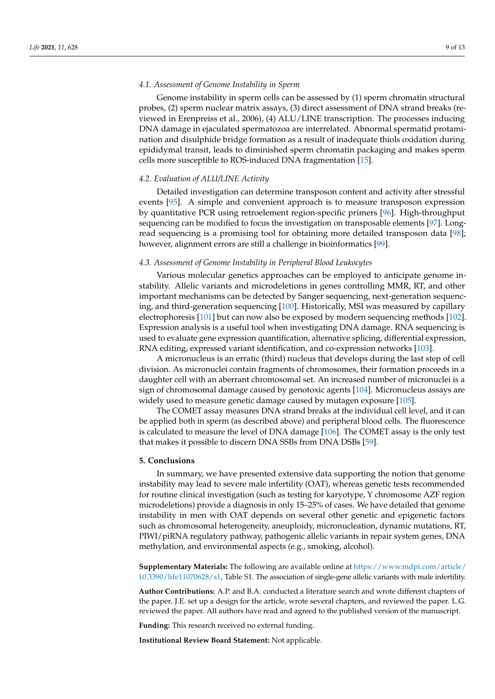#### *4.1. Assessment of Genome Instability in Sperm*

Genome instability in sperm cells can be assessed by (1) sperm chromatin structural probes, (2) sperm nuclear matrix assays, (3) direct assessment of DNA strand breaks (reviewed in Erenpreiss et al., 2006), (4) ALU/LINE transcription. The processes inducing DNA damage in ejaculated spermatozoa are interrelated. Abnormal spermatid protamination and disulphide bridge formation as a result of inadequate thiols oxidation during epididymal transit, leads to diminished sperm chromatin packaging and makes sperm cells more susceptible to ROS-induced DNA fragmentation [\[15\]](#page-9-11).

#### *4.2. Evaluation of ALU/LINE Activity*

Detailed investigation can determine transposon content and activity after stressful events [\[95\]](#page-12-14). A simple and convenient approach is to measure transposon expression by quantitative PCR using retroelement region-specific primers [\[96\]](#page-12-15). High-throughput sequencing can be modified to focus the investigation on transposable elements [\[97\]](#page-12-16). Longread sequencing is a promising tool for obtaining more detailed transposon data [\[98\]](#page-12-17); however, alignment errors are still a challenge in bioinformatics [\[99\]](#page-12-18).

#### *4.3. Assessment of Genome Instability in Peripheral Blood Leukocytes*

Various molecular genetics approaches can be employed to anticipate genome instability. Allelic variants and microdeletions in genes controlling MMR, RT, and other important mechanisms can be detected by Sanger sequencing, next-generation sequencing, and third-generation sequencing [\[100\]](#page-12-19). Historically, MSI was measured by capillary electrophoresis [\[101\]](#page-12-20) but can now also be exposed by modern sequencing methods [\[102\]](#page-12-21). Expression analysis is a useful tool when investigating DNA damage. RNA sequencing is used to evaluate gene expression quantification, alternative splicing, differential expression, RNA editing, expressed variant identification, and co-expression networks [\[103\]](#page-12-22).

A micronucleus is an erratic (third) nucleus that develops during the last step of cell division. As micronuclei contain fragments of chromosomes, their formation proceeds in a daughter cell with an aberrant chromosomal set. An increased number of micronuclei is a sign of chromosomal damage caused by genotoxic agents [\[104\]](#page-12-23). Micronucleus assays are widely used to measure genetic damage caused by mutagen exposure [\[105\]](#page-12-24).

The COMET assay measures DNA strand breaks at the individual cell level, and it can be applied both in sperm (as described above) and peripheral blood cells. The fluorescence is calculated to measure the level of DNA damage [\[106\]](#page-12-25). The COMET assay is the only test that makes it possible to discern DNA SSBs from DNA DSBs [\[59\]](#page-11-7).

#### **5. Conclusions**

In summary, we have presented extensive data supporting the notion that genome instability may lead to severe male infertility (OAT), whereas genetic tests recommended for routine clinical investigation (such as testing for karyotype, Y chromosome AZF region microdeletions) provide a diagnosis in only 15–25% of cases. We have detailed that genome instability in men with OAT depends on several other genetic and epigenetic factors such as chromosomal heterogeneity, aneuploidy, micronucleation, dynamic mutations, RT, PIWI/piRNA regulatory pathway, pathogenic allelic variants in repair system genes, DNA methylation, and environmental aspects (e.g., smoking, alcohol).

**Supplementary Materials:** The following are available online at [https://www.mdpi.com/article/](https://www.mdpi.com/article/10.3390/life11070628/s1) [10.3390/life11070628/s1,](https://www.mdpi.com/article/10.3390/life11070628/s1) Table S1. The association of single-gene allelic variants with male infertility.

**Author Contributions:** A.P. and B.A. conducted a literature search and wrote different chapters of the paper. J.E. set up a design for the article, wrote several chapters, and reviewed the paper. L.G. reviewed the paper. All authors have read and agreed to the published version of the manuscript.

**Funding:** This research received no external funding.

**Institutional Review Board Statement:** Not applicable.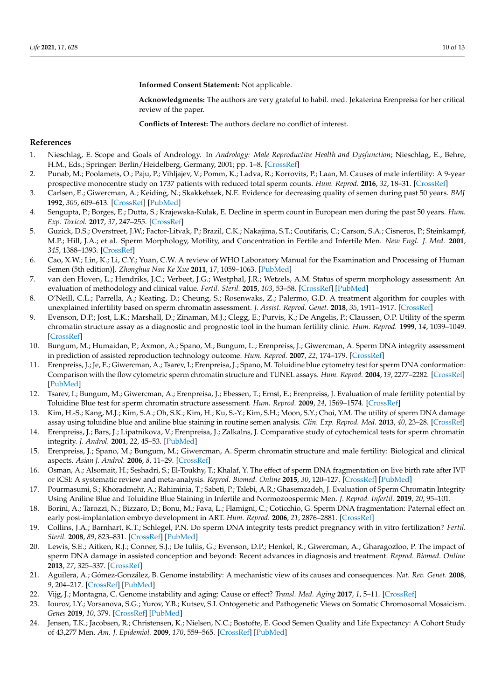**Informed Consent Statement:** Not applicable.

**Acknowledgments:** The authors are very grateful to habil. med. Jekaterina Erenpreisa for her critical review of the paper.

**Conflicts of Interest:** The authors declare no conflict of interest.

#### **References**

- <span id="page-9-0"></span>1. Nieschlag, E. Scope and Goals of Andrology. In *Andrology: Male Reproductive Health and Dysfunction*; Nieschlag, E., Behre, H.M., Eds.; Springer: Berlin/Heidelberg, Germany, 2001; pp. 1–8. [\[CrossRef\]](http://doi.org/10.1007/978-3-662-04491-9_1)
- <span id="page-9-1"></span>2. Punab, M.; Poolamets, O.; Paju, P.; Vihljajev, V.; Pomm, K.; Ladva, R.; Korrovits, P.; Laan, M. Causes of male infertility: A 9-year prospective monocentre study on 1737 patients with reduced total sperm counts. *Hum. Reprod.* **2016**, *32*, 18–31. [\[CrossRef\]](http://doi.org/10.1093/humrep/dew284)
- <span id="page-9-2"></span>3. Carlsen, E.; Giwercman, A.; Keiding, N.; Skakkebaek, N.E. Evidence for decreasing quality of semen during past 50 years. *BMJ* **1992**, *305*, 609–613. [\[CrossRef\]](http://doi.org/10.1136/bmj.305.6854.609) [\[PubMed\]](http://www.ncbi.nlm.nih.gov/pubmed/1393072)
- <span id="page-9-3"></span>4. Sengupta, P.; Borges, E.; Dutta, S.; Krajewska-Kułak, E. Decline in sperm count in European men during the past 50 years. *Hum. Exp. Toxicol.* **2017**, *37*, 247–255. [\[CrossRef\]](http://doi.org/10.1177/0960327117703690)
- <span id="page-9-4"></span>5. Guzick, D.S.; Overstreet, J.W.; Factor-Litvak, P.; Brazil, C.K.; Nakajima, S.T.; Coutifaris, C.; Carson, S.A.; Cisneros, P.; Steinkampf, M.P.; Hill, J.A.; et al. Sperm Morphology, Motility, and Concentration in Fertile and Infertile Men. *New Engl. J. Med.* **2001**, *345*, 1388–1393. [\[CrossRef\]](http://doi.org/10.1056/NEJMoa003005)
- <span id="page-9-5"></span>6. Cao, X.W.; Lin, K.; Li, C.Y.; Yuan, C.W. A review of WHO Laboratory Manual for the Examination and Processing of Human Semen (5th edition)]. *Zhonghua Nan Ke Xue* **2011**, *17*, 1059–1063. [\[PubMed\]](http://www.ncbi.nlm.nih.gov/pubmed/22235670)
- <span id="page-9-6"></span>7. van den Hoven, L.; Hendriks, J.C.; Verbeet, J.G.; Westphal, J.R.; Wetzels, A.M. Status of sperm morphology assessment: An evaluation of methodology and clinical value. *Fertil. Steril.* **2015**, *103*, 53–58. [\[CrossRef\]](http://doi.org/10.1016/j.fertnstert.2014.09.036) [\[PubMed\]](http://www.ncbi.nlm.nih.gov/pubmed/25450299)
- <span id="page-9-7"></span>8. O'Neill, C.L.; Parrella, A.; Keating, D.; Cheung, S.; Rosenwaks, Z.; Palermo, G.D. A treatment algorithm for couples with unexplained infertility based on sperm chromatin assessment. *J. Assist. Reprod. Genet.* **2018**, *35*, 1911–1917. [\[CrossRef\]](http://doi.org/10.1007/s10815-018-1270-x)
- <span id="page-9-8"></span>9. Evenson, D.P.; Jost, L.K.; Marshall, D.; Zinaman, M.J.; Clegg, E.; Purvis, K.; De Angelis, P.; Claussen, O.P. Utility of the sperm chromatin structure assay as a diagnostic and prognostic tool in the human fertility clinic. *Hum. Reprod.* **1999**, *14*, 1039–1049. [\[CrossRef\]](http://doi.org/10.1093/humrep/14.4.1039)
- 10. Bungum, M.; Humaidan, P.; Axmon, A.; Spano, M.; Bungum, L.; Erenpreiss, J.; Giwercman, A. Sperm DNA integrity assessment in prediction of assisted reproduction technology outcome. *Hum. Reprod.* **2007**, *22*, 174–179. [\[CrossRef\]](http://doi.org/10.1093/humrep/del326)
- 11. Erenpreiss, J.; Je, E.; Giwercman, A.; Tsarev, I.; Erenpreisa, J.; Spano, M. Toluidine blue cytometry test for sperm DNA conformation: Comparison with the flow cytometric sperm chromatin structure and TUNEL assays. *Hum. Reprod.* **2004**, *19*, 2277–2282. [\[CrossRef\]](http://doi.org/10.1093/humrep/deh417) [\[PubMed\]](http://www.ncbi.nlm.nih.gov/pubmed/15271869)
- 12. Tsarev, I.; Bungum, M.; Giwercman, A.; Erenpreisa, J.; Ebessen, T.; Ernst, E.; Erenpreiss, J. Evaluation of male fertility potential by Toluidine Blue test for sperm chromatin structure assessment. *Hum. Reprod.* **2009**, *24*, 1569–1574. [\[CrossRef\]](http://doi.org/10.1093/humrep/dep068)
- <span id="page-9-9"></span>13. Kim, H.-S.; Kang, M.J.; Kim, S.A.; Oh, S.K.; Kim, H.; Ku, S.-Y.; Kim, S.H.; Moon, S.Y.; Choi, Y.M. The utility of sperm DNA damage assay using toluidine blue and aniline blue staining in routine semen analysis. *Clin. Exp. Reprod. Med.* **2013**, *40*, 23–28. [\[CrossRef\]](http://doi.org/10.5653/cerm.2013.40.1.23)
- <span id="page-9-10"></span>14. Erenpreiss, J.; Bars, J.; Lipatnikova, V.; Erenpreisa, J.; Zalkalns, J. Comparative study of cytochemical tests for sperm chromatin integrity. *J. Androl.* **2001**, *22*, 45–53. [\[PubMed\]](http://www.ncbi.nlm.nih.gov/pubmed/11191087)
- <span id="page-9-11"></span>15. Erenpreiss, J.; Spano, M.; Bungum, M.; Giwercman, A. Sperm chromatin structure and male fertility: Biological and clinical aspects. *Asian J. Androl.* **2006**, *8*, 11–29. [\[CrossRef\]](http://doi.org/10.1111/j.1745-7262.2006.00112.x)
- 16. Osman, A.; Alsomait, H.; Seshadri, S.; El-Toukhy, T.; Khalaf, Y. The effect of sperm DNA fragmentation on live birth rate after IVF or ICSI: A systematic review and meta-analysis. *Reprod. Biomed. Online* **2015**, *30*, 120–127. [\[CrossRef\]](http://doi.org/10.1016/j.rbmo.2014.10.018) [\[PubMed\]](http://www.ncbi.nlm.nih.gov/pubmed/25530036)
- <span id="page-9-12"></span>17. Pourmasumi, S.; Khoradmehr, A.; Rahiminia, T.; Sabeti, P.; Talebi, A.R.; Ghasemzadeh, J. Evaluation of Sperm Chromatin Integrity Using Aniline Blue and Toluidine Blue Staining in Infertile and Normozoospermic Men. *J. Reprod. Infertil.* **2019**, *20*, 95–101.
- <span id="page-9-13"></span>18. Borini, A.; Tarozzi, N.; Bizzaro, D.; Bonu, M.; Fava, L.; Flamigni, C.; Coticchio, G. Sperm DNA fragmentation: Paternal effect on early post-implantation embryo development in ART. *Hum. Reprod.* **2006**, *21*, 2876–2881. [\[CrossRef\]](http://doi.org/10.1093/humrep/del251)
- 19. Collins, J.A.; Barnhart, K.T.; Schlegel, P.N. Do sperm DNA integrity tests predict pregnancy with in vitro fertilization? *Fertil. Steril.* **2008**, *89*, 823–831. [\[CrossRef\]](http://doi.org/10.1016/j.fertnstert.2007.04.055) [\[PubMed\]](http://www.ncbi.nlm.nih.gov/pubmed/17644094)
- <span id="page-9-14"></span>20. Lewis, S.E.; Aitken, R.J.; Conner, S.J.; De Iuliis, G.; Evenson, D.P.; Henkel, R.; Giwercman, A.; Gharagozloo, P. The impact of sperm DNA damage in assisted conception and beyond: Recent advances in diagnosis and treatment. *Reprod. Biomed. Online* **2013**, *27*, 325–337. [\[CrossRef\]](http://doi.org/10.1016/j.rbmo.2013.06.014)
- <span id="page-9-15"></span>21. Aguilera, A.; Gómez-González, B. Genome instability: A mechanistic view of its causes and consequences. *Nat. Rev. Genet.* **2008**, *9*, 204–217. [\[CrossRef\]](http://doi.org/10.1038/nrg2268) [\[PubMed\]](http://www.ncbi.nlm.nih.gov/pubmed/18227811)
- <span id="page-9-16"></span>22. Vijg, J.; Montagna, C. Genome instability and aging: Cause or effect? *Transl. Med. Aging* **2017**, *1*, 5–11. [\[CrossRef\]](http://doi.org/10.1016/j.tma.2017.09.003)
- <span id="page-9-17"></span>23. Iourov, I.Y.; Vorsanova, S.G.; Yurov, Y.B.; Kutsev, S.I. Ontogenetic and Pathogenetic Views on Somatic Chromosomal Mosaicism. *Genes* **2019**, *10*, 379. [\[CrossRef\]](http://doi.org/10.3390/genes10050379) [\[PubMed\]](http://www.ncbi.nlm.nih.gov/pubmed/31109140)
- <span id="page-9-18"></span>24. Jensen, T.K.; Jacobsen, R.; Christensen, K.; Nielsen, N.C.; Bostofte, E. Good Semen Quality and Life Expectancy: A Cohort Study of 43,277 Men. *Am. J. Epidemiol.* **2009**, *170*, 559–565. [\[CrossRef\]](http://doi.org/10.1093/aje/kwp168) [\[PubMed\]](http://www.ncbi.nlm.nih.gov/pubmed/19635736)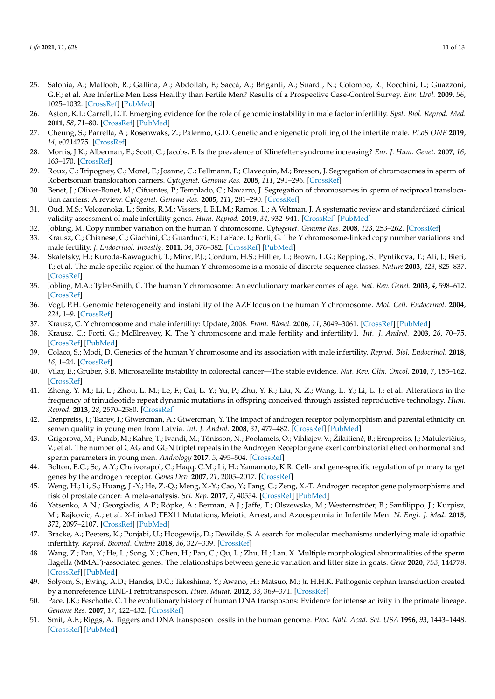- <span id="page-10-0"></span>25. Salonia, A.; Matloob, R.; Gallina, A.; Abdollah, F.; Saccà, A.; Briganti, A.; Suardi, N.; Colombo, R.; Rocchini, L.; Guazzoni, G.F.; et al. Are Infertile Men Less Healthy than Fertile Men? Results of a Prospective Case-Control Survey. *Eur. Urol.* **2009**, *56*, 1025–1032. [\[CrossRef\]](http://doi.org/10.1016/j.eururo.2009.03.001) [\[PubMed\]](http://www.ncbi.nlm.nih.gov/pubmed/19297076)
- <span id="page-10-1"></span>26. Aston, K.I.; Carrell, D.T. Emerging evidence for the role of genomic instability in male factor infertility. *Syst. Biol. Reprod. Med.* **2011**, *58*, 71–80. [\[CrossRef\]](http://doi.org/10.3109/19396368.2011.635751) [\[PubMed\]](http://www.ncbi.nlm.nih.gov/pubmed/22142145)
- <span id="page-10-2"></span>27. Cheung, S.; Parrella, A.; Rosenwaks, Z.; Palermo, G.D. Genetic and epigenetic profiling of the infertile male. *PLoS ONE* **2019**, *14*, e0214275. [\[CrossRef\]](http://doi.org/10.1371/journal.pone.0214275)
- <span id="page-10-3"></span>28. Morris, J.K.; Alberman, E.; Scott, C.; Jacobs, P. Is the prevalence of Klinefelter syndrome increasing? *Eur. J. Hum. Genet.* **2007**, *16*, 163–170. [\[CrossRef\]](http://doi.org/10.1038/sj.ejhg.5201956)
- <span id="page-10-4"></span>29. Roux, C.; Tripogney, C.; Morel, F.; Joanne, C.; Fellmann, F.; Clavequin, M.; Bresson, J. Segregation of chromosomes in sperm of Robertsonian translocation carriers. *Cytogenet. Genome Res.* **2005**, *111*, 291–296. [\[CrossRef\]](http://doi.org/10.1159/000086902)
- <span id="page-10-5"></span>30. Benet, J.; Oliver-Bonet, M.; Cifuentes, P.; Templado, C.; Navarro, J. Segregation of chromosomes in sperm of reciprocal translocation carriers: A review. *Cytogenet. Genome Res.* **2005**, *111*, 281–290. [\[CrossRef\]](http://doi.org/10.1159/000086901)
- <span id="page-10-6"></span>31. Oud, M.S.; Volozonoka, L.; Smits, R.M.; Vissers, L.E.L.M.; Ramos, L.; A Veltman, J. A systematic review and standardized clinical validity assessment of male infertility genes. *Hum. Reprod.* **2019**, *34*, 932–941. [\[CrossRef\]](http://doi.org/10.1093/humrep/dez022) [\[PubMed\]](http://www.ncbi.nlm.nih.gov/pubmed/30865283)
- <span id="page-10-7"></span>32. Jobling, M. Copy number variation on the human Y chromosome. *Cytogenet. Genome Res.* **2008**, *123*, 253–262. [\[CrossRef\]](http://doi.org/10.1159/000184715)
- 33. Krausz, C.; Chianese, C.; Giachini, C.; Guarducci, E.; LaFace, I.; Forti, G. The Y chromosome-linked copy number variations and male fertility. *J. Endocrinol. Investig.* **2011**, *34*, 376–382. [\[CrossRef\]](http://doi.org/10.1007/BF03347463) [\[PubMed\]](http://www.ncbi.nlm.nih.gov/pubmed/21422806)
- <span id="page-10-8"></span>34. Skaletsky, H.; Kuroda-Kawaguchi, T.; Minx, P.J.; Cordum, H.S.; Hillier, L.; Brown, L.G.; Repping, S.; Pyntikova, T.; Ali, J.; Bieri, T.; et al. The male-specific region of the human Y chromosome is a mosaic of discrete sequence classes. *Nature* **2003**, *423*, 825–837. [\[CrossRef\]](http://doi.org/10.1038/nature01722)
- <span id="page-10-9"></span>35. Jobling, M.A.; Tyler-Smith, C. The human Y chromosome: An evolutionary marker comes of age. *Nat. Rev. Genet.* **2003**, *4*, 598–612. [\[CrossRef\]](http://doi.org/10.1038/nrg1124)
- <span id="page-10-10"></span>36. Vogt, P.H. Genomic heterogeneity and instability of the AZF locus on the human Y chromosome. *Mol. Cell. Endocrinol.* **2004**, *224*, 1–9. [\[CrossRef\]](http://doi.org/10.1016/j.mce.2004.06.008)
- 37. Krausz, C. Y chromosome and male infertility: Update, 2006. *Front. Biosci.* **2006**, *11*, 3049–3061. [\[CrossRef\]](http://doi.org/10.2741/2032) [\[PubMed\]](http://www.ncbi.nlm.nih.gov/pubmed/16720375)
- <span id="page-10-11"></span>38. Krausz, C.; Forti, G.; McElreavey, K. The Y chromosome and male fertility and infertility1. *Int. J. Androl.* **2003**, *26*, 70–75. [\[CrossRef\]](http://doi.org/10.1046/j.1365-2605.2003.00402.x) [\[PubMed\]](http://www.ncbi.nlm.nih.gov/pubmed/12641824)
- <span id="page-10-12"></span>39. Colaco, S.; Modi, D. Genetics of the human Y chromosome and its association with male infertility. *Reprod. Biol. Endocrinol.* **2018**, *16*, 1–24. [\[CrossRef\]](http://doi.org/10.1186/s12958-018-0330-5)
- <span id="page-10-13"></span>40. Vilar, E.; Gruber, S.B. Microsatellite instability in colorectal cancer—The stable evidence. *Nat. Rev. Clin. Oncol.* **2010**, *7*, 153–162. [\[CrossRef\]](http://doi.org/10.1038/nrclinonc.2009.237)
- <span id="page-10-14"></span>41. Zheng, Y.-M.; Li, L.; Zhou, L.-M.; Le, F.; Cai, L.-Y.; Yu, P.; Zhu, Y.-R.; Liu, X.-Z.; Wang, L.-Y.; Li, L.-J.; et al. Alterations in the frequency of trinucleotide repeat dynamic mutations in offspring conceived through assisted reproductive technology. *Hum. Reprod.* **2013**, *28*, 2570–2580. [\[CrossRef\]](http://doi.org/10.1093/humrep/det294)
- <span id="page-10-15"></span>42. Erenpreiss, J.; Tsarev, I.; Giwercman, A.; Giwercman, Y. The impact of androgen receptor polymorphism and parental ethnicity on semen quality in young men from Latvia. *Int. J. Androl.* **2008**, *31*, 477–482. [\[CrossRef\]](http://doi.org/10.1111/j.1365-2605.2007.00791.x) [\[PubMed\]](http://www.ncbi.nlm.nih.gov/pubmed/17916185)
- <span id="page-10-16"></span>43. Grigorova, M.; Punab, M.; Kahre, T.; Ivandi, M.; Tõnisson, N.; Poolamets, O.; Vihljajev, V.; Žilaitienė, B.; Erenpreiss, J.; Matulevičius, V.; et al. The number of CAG and GGN triplet repeats in the Androgen Receptor gene exert combinatorial effect on hormonal and sperm parameters in young men. *Andrology* **2017**, *5*, 495–504. [\[CrossRef\]](http://doi.org/10.1111/andr.12344)
- <span id="page-10-17"></span>44. Bolton, E.C.; So, A.Y.; Chaivorapol, C.; Haqq, C.M.; Li, H.; Yamamoto, K.R. Cell- and gene-specific regulation of primary target genes by the androgen receptor. *Genes Dev.* **2007**, *21*, 2005–2017. [\[CrossRef\]](http://doi.org/10.1101/gad.1564207)
- <span id="page-10-18"></span>45. Weng, H.; Li, S.; Huang, J.-Y.; He, Z.-Q.; Meng, X.-Y.; Cao, Y.; Fang, C.; Zeng, X.-T. Androgen receptor gene polymorphisms and risk of prostate cancer: A meta-analysis. *Sci. Rep.* **2017**, *7*, 40554. [\[CrossRef\]](http://doi.org/10.1038/srep40554) [\[PubMed\]](http://www.ncbi.nlm.nih.gov/pubmed/28091563)
- <span id="page-10-19"></span>46. Yatsenko, A.N.; Georgiadis, A.P.; Röpke, A.; Berman, A.J.; Jaffe, T.; Olszewska, M.; Westernströer, B.; Sanfilippo, J.; Kurpisz, M.; Rajkovic, A.; et al. X-Linked TEX11 Mutations, Meiotic Arrest, and Azoospermia in Infertile Men. *N. Engl. J. Med.* **2015**, *372*, 2097–2107. [\[CrossRef\]](http://doi.org/10.1056/NEJMoa1406192) [\[PubMed\]](http://www.ncbi.nlm.nih.gov/pubmed/25970010)
- <span id="page-10-20"></span>47. Bracke, A.; Peeters, K.; Punjabi, U.; Hoogewijs, D.; Dewilde, S. A search for molecular mechanisms underlying male idiopathic infertility. *Reprod. Biomed. Online* **2018**, *36*, 327–339. [\[CrossRef\]](http://doi.org/10.1016/j.rbmo.2017.12.005)
- <span id="page-10-21"></span>48. Wang, Z.; Pan, Y.; He, L.; Song, X.; Chen, H.; Pan, C.; Qu, L.; Zhu, H.; Lan, X. Multiple morphological abnormalities of the sperm flagella (MMAF)-associated genes: The relationships between genetic variation and litter size in goats. *Gene* **2020**, *753*, 144778. [\[CrossRef\]](http://doi.org/10.1016/j.gene.2020.144778) [\[PubMed\]](http://www.ncbi.nlm.nih.gov/pubmed/32439377)
- <span id="page-10-22"></span>49. Solyom, S.; Ewing, A.D.; Hancks, D.C.; Takeshima, Y.; Awano, H.; Matsuo, M.; Jr, H.H.K. Pathogenic orphan transduction created by a nonreference LINE-1 retrotransposon. *Hum. Mutat.* **2012**, *33*, 369–371. [\[CrossRef\]](http://doi.org/10.1002/humu.21663)
- <span id="page-10-23"></span>50. Pace, J.K.; Feschotte, C. The evolutionary history of human DNA transposons: Evidence for intense activity in the primate lineage. *Genome Res.* **2007**, *17*, 422–432. [\[CrossRef\]](http://doi.org/10.1101/gr.5826307)
- <span id="page-10-24"></span>51. Smit, A.F.; Riggs, A. Tiggers and DNA transposon fossils in the human genome. *Proc. Natl. Acad. Sci. USA* **1996**, *93*, 1443–1448. [\[CrossRef\]](http://doi.org/10.1073/pnas.93.4.1443) [\[PubMed\]](http://www.ncbi.nlm.nih.gov/pubmed/8643651)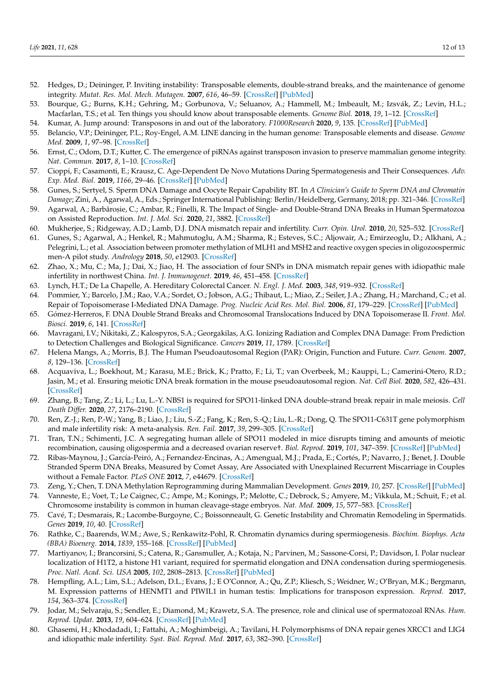- <span id="page-11-0"></span>52. Hedges, D.; Deininger, P. Inviting instability: Transposable elements, double-strand breaks, and the maintenance of genome integrity. *Mutat. Res. Mol. Mech. Mutagen.* **2007**, *616*, 46–59. [\[CrossRef\]](http://doi.org/10.1016/j.mrfmmm.2006.11.021) [\[PubMed\]](http://www.ncbi.nlm.nih.gov/pubmed/17157332)
- <span id="page-11-1"></span>53. Bourque, G.; Burns, K.H.; Gehring, M.; Gorbunova, V.; Seluanov, A.; Hammell, M.; Imbeault, M.; Izsvák, Z.; Levin, H.L.; Macfarlan, T.S.; et al. Ten things you should know about transposable elements. *Genome Biol.* **2018**, *19*, 1–12. [\[CrossRef\]](http://doi.org/10.1186/s13059-018-1577-z)
- <span id="page-11-2"></span>54. Kumar, A. Jump around: Transposons in and out of the laboratory. *F1000Research* **2020**, *9*, 135. [\[CrossRef\]](http://doi.org/10.12688/f1000research.21018.1) [\[PubMed\]](http://www.ncbi.nlm.nih.gov/pubmed/32148769)
- <span id="page-11-3"></span>55. Belancio, V.P.; Deininger, P.L.; Roy-Engel, A.M. LINE dancing in the human genome: Transposable elements and disease. *Genome Med.* **2009**, *1*, 97–98. [\[CrossRef\]](http://doi.org/10.1186/gm97)
- <span id="page-11-4"></span>56. Ernst, C.; Odom, D.T.; Kutter, C. The emergence of piRNAs against transposon invasion to preserve mammalian genome integrity. *Nat. Commun.* **2017**, *8*, 1–10. [\[CrossRef\]](http://doi.org/10.1038/s41467-017-01049-7)
- <span id="page-11-5"></span>57. Cioppi, F.; Casamonti, E.; Krausz, C. Age-Dependent De Novo Mutations During Spermatogenesis and Their Consequences. *Adv. Exp. Med. Biol.* **2019**, *1166*, 29–46. [\[CrossRef\]](http://doi.org/10.1007/978-3-030-21664-1_2) [\[PubMed\]](http://www.ncbi.nlm.nih.gov/pubmed/31301044)
- <span id="page-11-6"></span>58. Gunes, S.; Sertyel, S. Sperm DNA Damage and Oocyte Repair Capability BT. In *A Clinician's Guide to Sperm DNA and Chromatin Damage*; Zini, A., Agarwal, A., Eds.; Springer International Publishing: Berlin/Heidelberg, Germany, 2018; pp. 321–346. [\[CrossRef\]](http://doi.org/10.1007/978-3-319-71815-6_18)
- <span id="page-11-7"></span>59. Agarwal, A.; Barbăroșie, C.; Ambar, R.; Finelli, R. The Impact of Single- and Double-Strand DNA Breaks in Human Spermatozoa on Assisted Reproduction. *Int. J. Mol. Sci.* **2020**, *21*, 3882. [\[CrossRef\]](http://doi.org/10.3390/ijms21113882)
- <span id="page-11-8"></span>60. Mukherjee, S.; Ridgeway, A.D.; Lamb, D.J. DNA mismatch repair and infertility. *Curr. Opin. Urol.* **2010**, *20*, 525–532. [\[CrossRef\]](http://doi.org/10.1097/MOU.0b013e32833f1c21)
- <span id="page-11-11"></span>61. Gunes, S.; Agarwal, A.; Henkel, R.; Mahmutoglu, A.M.; Sharma, R.; Esteves, S.C.; Aljowair, A.; Emirzeoglu, D.; Alkhani, A.; Pelegrini, L.; et al. Association between promoter methylation of MLH1 and MSH2 and reactive oxygen species in oligozoospermic men-A pilot study. *Andrology* **2018**, *50*, e12903. [\[CrossRef\]](http://doi.org/10.1111/and.12903)
- <span id="page-11-9"></span>62. Zhao, X.; Mu, C.; Ma, J.; Dai, X.; Jiao, H. The association of four SNPs in DNA mismatch repair genes with idiopathic male infertility in northwest China. *Int. J. Immunogenet.* **2019**, *46*, 451–458. [\[CrossRef\]](http://doi.org/10.1111/iji.12448)
- <span id="page-11-10"></span>63. Lynch, H.T.; De La Chapelle, A. Hereditary Colorectal Cancer. *N. Engl. J. Med.* **2003**, *348*, 919–932. [\[CrossRef\]](http://doi.org/10.1056/NEJMra012242)
- <span id="page-11-12"></span>64. Pommier, Y.; Barcelo, J.M.; Rao, V.A.; Sordet, O.; Jobson, A.G.; Thibaut, L.; Miao, Z.; Seiler, J.A.; Zhang, H.; Marchand, C.; et al. Repair of Topoisomerase I-Mediated DNA Damage. *Prog. Nucleic Acid Res. Mol. Biol.* **2006**, *81*, 179–229. [\[CrossRef\]](http://doi.org/10.1016/s0079-6603(06)81005-6) [\[PubMed\]](http://www.ncbi.nlm.nih.gov/pubmed/16891172)
- <span id="page-11-13"></span>65. Gómez-Herreros, F. DNA Double Strand Breaks and Chromosomal Translocations Induced by DNA Topoisomerase II. *Front. Mol. Biosci.* **2019**, *6*, 141. [\[CrossRef\]](http://doi.org/10.3389/fmolb.2019.00141)
- <span id="page-11-14"></span>66. Mavragani, I.V.; Nikitaki, Z.; Kalospyros, S.A.; Georgakilas, A.G. Ionizing Radiation and Complex DNA Damage: From Prediction to Detection Challenges and Biological Significance. *Cancers* **2019**, *11*, 1789. [\[CrossRef\]](http://doi.org/10.3390/cancers11111789)
- <span id="page-11-15"></span>67. Helena Mangs, A.; Morris, B.J. The Human Pseudoautosomal Region (PAR): Origin, Function and Future. *Curr. Genom.* **2007**, *8*, 129–136. [\[CrossRef\]](http://doi.org/10.2174/138920207780368141)
- <span id="page-11-16"></span>68. Acquaviva, L.; Boekhout, M.; Karasu, M.E.; Brick, K.; Pratto, F.; Li, T.; van Overbeek, M.; Kauppi, L.; Camerini-Otero, R.D.; Jasin, M.; et al. Ensuring meiotic DNA break formation in the mouse pseudoautosomal region. *Nat. Cell Biol.* **2020**, *582*, 426–431. [\[CrossRef\]](http://doi.org/10.1038/s41586-020-2327-4)
- <span id="page-11-17"></span>69. Zhang, B.; Tang, Z.; Li, L.; Lu, L.-Y. NBS1 is required for SPO11-linked DNA double-strand break repair in male meiosis. *Cell Death Differ.* **2020**, *27*, 2176–2190. [\[CrossRef\]](http://doi.org/10.1038/s41418-020-0493-4)
- <span id="page-11-18"></span>70. Ren, Z.-J.; Ren, P.-W.; Yang, B.; Liao, J.; Liu, S.-Z.; Fang, K.; Ren, S.-Q.; Liu, L.-R.; Dong, Q. The SPO11-C631T gene polymorphism and male infertility risk: A meta-analysis. *Ren. Fail.* **2017**, *39*, 299–305. [\[CrossRef\]](http://doi.org/10.1080/0886022X.2016.1274661)
- <span id="page-11-19"></span>71. Tran, T.N.; Schimenti, J.C. A segregating human allele of SPO11 modeled in mice disrupts timing and amounts of meiotic recombination, causing oligospermia and a decreased ovarian reserve†. *Biol. Reprod.* **2019**, *101*, 347–359. [\[CrossRef\]](http://doi.org/10.1093/biolre/ioz089) [\[PubMed\]](http://www.ncbi.nlm.nih.gov/pubmed/31074776)
- <span id="page-11-20"></span>72. Ribas-Maynou, J.; García-Peiró, A.; Fernandez-Encinas, A.; Amengual, M.J.; Prada, E.; Cortés, P.; Navarro, J.; Benet, J. Double Stranded Sperm DNA Breaks, Measured by Comet Assay, Are Associated with Unexplained Recurrent Miscarriage in Couples without a Female Factor. *PLoS ONE* **2012**, *7*, e44679. [\[CrossRef\]](http://doi.org/10.1371/journal.pone.0044679)
- <span id="page-11-21"></span>73. Zeng, Y.; Chen, T. DNA Methylation Reprogramming during Mammalian Development. *Genes* **2019**, *10*, 257. [\[CrossRef\]](http://doi.org/10.3390/genes10040257) [\[PubMed\]](http://www.ncbi.nlm.nih.gov/pubmed/30934924)
- <span id="page-11-22"></span>74. Vanneste, E.; Voet, T.; Le Caignec, C.; Ampe, M.; Konings, P.; Melotte, C.; Debrock, S.; Amyere, M.; Vikkula, M.; Schuit, F.; et al. Chromosome instability is common in human cleavage-stage embryos. *Nat. Med.* **2009**, *15*, 577–583. [\[CrossRef\]](http://doi.org/10.1038/nm.1924)
- <span id="page-11-23"></span>75. Cavé, T.; Desmarais, R.; Lacombe-Burgoyne, C.; Boissonneault, G. Genetic Instability and Chromatin Remodeling in Spermatids. *Genes* **2019**, *10*, 40. [\[CrossRef\]](http://doi.org/10.3390/genes10010040)
- <span id="page-11-24"></span>76. Rathke, C.; Baarends, W.M.; Awe, S.; Renkawitz-Pohl, R. Chromatin dynamics during spermiogenesis. *Biochim. Biophys. Acta (BBA) Bioenerg.* **2014**, *1839*, 155–168. [\[CrossRef\]](http://doi.org/10.1016/j.bbagrm.2013.08.004) [\[PubMed\]](http://www.ncbi.nlm.nih.gov/pubmed/24091090)
- <span id="page-11-25"></span>77. Martiyanov, I.; Brancorsini, S.; Catena, R.; Gansmuller, A.; Kotaja, N.; Parvinen, M.; Sassone-Corsi, P.; Davidson, I. Polar nuclear localization of H1T2, a histone H1 variant, required for spermatid elongation and DNA condensation during spermiogenesis. *Proc. Natl. Acad. Sci. USA* **2005**, *102*, 2808–2813. [\[CrossRef\]](http://doi.org/10.1073/pnas.0406060102) [\[PubMed\]](http://www.ncbi.nlm.nih.gov/pubmed/15710904)
- <span id="page-11-26"></span>78. Hempfling, A.L.; Lim, S.L.; Adelson, D.L.; Evans, J.; E O'Connor, A.; Qu, Z.P.; Kliesch, S.; Weidner, W.; O'Bryan, M.K.; Bergmann, M. Expression patterns of HENMT1 and PIWIL1 in human testis: Implications for transposon expression. *Reprod.* **2017**, *154*, 363–374. [\[CrossRef\]](http://doi.org/10.1530/REP-16-0586)
- <span id="page-11-27"></span>79. Jodar, M.; Selvaraju, S.; Sendler, E.; Diamond, M.; Krawetz, S.A. The presence, role and clinical use of spermatozoal RNAs. *Hum. Reprod. Updat.* **2013**, *19*, 604–624. [\[CrossRef\]](http://doi.org/10.1093/humupd/dmt031) [\[PubMed\]](http://www.ncbi.nlm.nih.gov/pubmed/23856356)
- <span id="page-11-28"></span>80. Ghasemi, H.; Khodadadi, I.; Fattahi, A.; Moghimbeigi, A.; Tavilani, H. Polymorphisms of DNA repair genes XRCC1 and LIG4 and idiopathic male infertility. *Syst. Biol. Reprod. Med.* **2017**, *63*, 382–390. [\[CrossRef\]](http://doi.org/10.1080/19396368.2017.1374488)